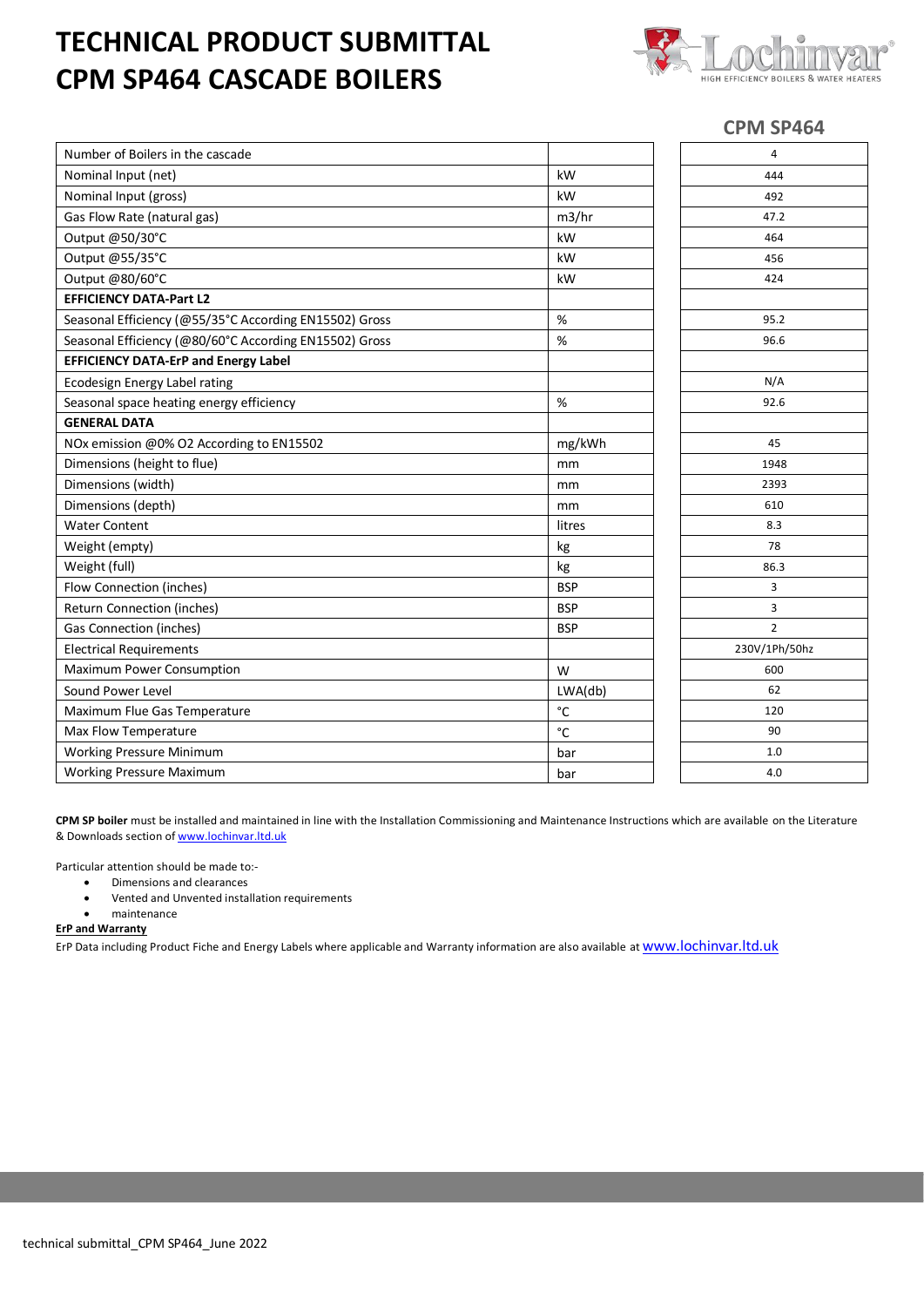## **TECHNICAL PRODUCT SUBMITTAL CPM SP464 CASCADE BOILERS**



## **CPM SP464**

| Number of Boilers in the cascade                       |              | $\overline{4}$ |
|--------------------------------------------------------|--------------|----------------|
| Nominal Input (net)                                    | kW           | 444            |
| Nominal Input (gross)                                  | kW           | 492            |
| Gas Flow Rate (natural gas)                            | m3/hr        | 47.2           |
| Output @50/30°C                                        | kW           | 464            |
| Output @55/35°C                                        | kW           | 456            |
| Output @80/60°C                                        | kW           | 424            |
| <b>EFFICIENCY DATA-Part L2</b>                         |              |                |
| Seasonal Efficiency (@55/35°C According EN15502) Gross | %            | 95.2           |
| Seasonal Efficiency (@80/60°C According EN15502) Gross | %            | 96.6           |
| <b>EFFICIENCY DATA-ErP and Energy Label</b>            |              |                |
| Ecodesign Energy Label rating                          |              | N/A            |
| Seasonal space heating energy efficiency               | %            | 92.6           |
| <b>GENERAL DATA</b>                                    |              |                |
| NOx emission @0% O2 According to EN15502               | mg/kWh       | 45             |
| Dimensions (height to flue)                            | mm           | 1948           |
| Dimensions (width)                                     | mm           | 2393           |
| Dimensions (depth)                                     | mm           | 610            |
| <b>Water Content</b>                                   | litres       | 8.3            |
| Weight (empty)                                         | kg           | 78             |
| Weight (full)                                          | kg           | 86.3           |
| Flow Connection (inches)                               | <b>BSP</b>   | 3              |
| <b>Return Connection (inches)</b>                      | <b>BSP</b>   | 3              |
| <b>Gas Connection (inches)</b>                         | <b>BSP</b>   | $\overline{2}$ |
| <b>Electrical Requirements</b>                         |              | 230V/1Ph/50hz  |
| Maximum Power Consumption                              | W            | 600            |
| Sound Power Level                                      | LWA(db)      | 62             |
| Maximum Flue Gas Temperature                           | $^{\circ}$ C | 120            |
| Max Flow Temperature                                   | $^{\circ}$ C | 90             |
| <b>Working Pressure Minimum</b>                        | bar          | 1.0            |
| <b>Working Pressure Maximum</b>                        | bar          | 4.0            |

**CPM SP boiler** must be installed and maintained in line with the Installation Commissioning and Maintenance Instructions which are available on the Literature & Downloads section of [www.lochinvar.ltd.uk](http://www.lochinvar.ltd.uk/)

Particular attention should be made to:-

- Dimensions and clearances
- Vented and Unvented installation requirements
- maintenance

**ErP and Warranty**

ErP Data including Product Fiche and Energy Labels where applicable and Warranty information are also available at **WWW.lOChinvar.ltd.uk**